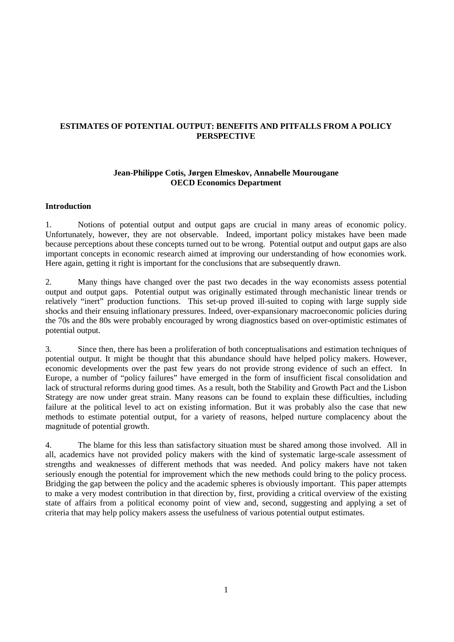# **ESTIMATES OF POTENTIAL OUTPUT: BENEFITS AND PITFALLS FROM A POLICY PERSPECTIVE**

## **Jean-Philippe Cotis, Jørgen Elmeskov, Annabelle Mourougane OECD Economics Department**

## **Introduction**

1. Notions of potential output and output gaps are crucial in many areas of economic policy. Unfortunately, however, they are not observable. Indeed, important policy mistakes have been made because perceptions about these concepts turned out to be wrong. Potential output and output gaps are also important concepts in economic research aimed at improving our understanding of how economies work. Here again, getting it right is important for the conclusions that are subsequently drawn.

2. Many things have changed over the past two decades in the way economists assess potential output and output gaps. Potential output was originally estimated through mechanistic linear trends or relatively "inert" production functions. This set-up proved ill-suited to coping with large supply side shocks and their ensuing inflationary pressures. Indeed, over-expansionary macroeconomic policies during the 70s and the 80s were probably encouraged by wrong diagnostics based on over-optimistic estimates of potential output.

3. Since then, there has been a proliferation of both conceptualisations and estimation techniques of potential output. It might be thought that this abundance should have helped policy makers. However, economic developments over the past few years do not provide strong evidence of such an effect. In Europe, a number of "policy failures" have emerged in the form of insufficient fiscal consolidation and lack of structural reforms during good times. As a result, both the Stability and Growth Pact and the Lisbon Strategy are now under great strain. Many reasons can be found to explain these difficulties, including failure at the political level to act on existing information. But it was probably also the case that new methods to estimate potential output, for a variety of reasons, helped nurture complacency about the magnitude of potential growth.

4. The blame for this less than satisfactory situation must be shared among those involved. All in all, academics have not provided policy makers with the kind of systematic large-scale assessment of strengths and weaknesses of different methods that was needed. And policy makers have not taken seriously enough the potential for improvement which the new methods could bring to the policy process. Bridging the gap between the policy and the academic spheres is obviously important. This paper attempts to make a very modest contribution in that direction by, first, providing a critical overview of the existing state of affairs from a political economy point of view and, second, suggesting and applying a set of criteria that may help policy makers assess the usefulness of various potential output estimates.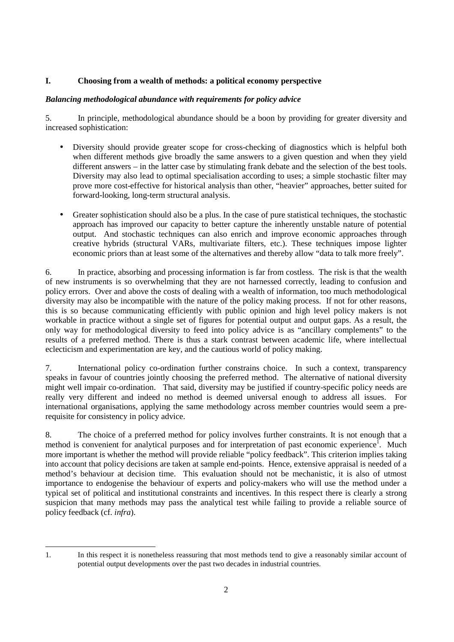# **I. Choosing from a wealth of methods: a political economy perspective**

## *Balancing methodological abundance with requirements for policy advice*

5. In principle, methodological abundance should be a boon by providing for greater diversity and increased sophistication:

- Diversity should provide greater scope for cross-checking of diagnostics which is helpful both when different methods give broadly the same answers to a given question and when they yield different answers – in the latter case by stimulating frank debate and the selection of the best tools. Diversity may also lead to optimal specialisation according to uses; a simple stochastic filter may prove more cost-effective for historical analysis than other, "heavier" approaches, better suited for forward-looking, long-term structural analysis.
- Greater sophistication should also be a plus. In the case of pure statistical techniques, the stochastic approach has improved our capacity to better capture the inherently unstable nature of potential output. And stochastic techniques can also enrich and improve economic approaches through creative hybrids (structural VARs, multivariate filters, etc.). These techniques impose lighter economic priors than at least some of the alternatives and thereby allow "data to talk more freely".

6. In practice, absorbing and processing information is far from costless. The risk is that the wealth of new instruments is so overwhelming that they are not harnessed correctly, leading to confusion and policy errors. Over and above the costs of dealing with a wealth of information, too much methodological diversity may also be incompatible with the nature of the policy making process. If not for other reasons, this is so because communicating efficiently with public opinion and high level policy makers is not workable in practice without a single set of figures for potential output and output gaps. As a result, the only way for methodological diversity to feed into policy advice is as "ancillary complements" to the results of a preferred method. There is thus a stark contrast between academic life, where intellectual eclecticism and experimentation are key, and the cautious world of policy making.

7. International policy co-ordination further constrains choice. In such a context, transparency speaks in favour of countries jointly choosing the preferred method. The alternative of national diversity might well impair co-ordination. That said, diversity may be justified if country-specific policy needs are really very different and indeed no method is deemed universal enough to address all issues. For international organisations, applying the same methodology across member countries would seem a prerequisite for consistency in policy advice.

8. The choice of a preferred method for policy involves further constraints. It is not enough that a method is convenient for analytical purposes and for interpretation of past economic experience<sup>1</sup>. Much more important is whether the method will provide reliable "policy feedback". This criterion implies taking into account that policy decisions are taken at sample end-points. Hence, extensive appraisal is needed of a method's behaviour at decision time. This evaluation should not be mechanistic, it is also of utmost importance to endogenise the behaviour of experts and policy-makers who will use the method under a typical set of political and institutional constraints and incentives. In this respect there is clearly a strong suspicion that many methods may pass the analytical test while failing to provide a reliable source of policy feedback (cf. *infra*).

 1. In this respect it is nonetheless reassuring that most methods tend to give a reasonably similar account of potential output developments over the past two decades in industrial countries.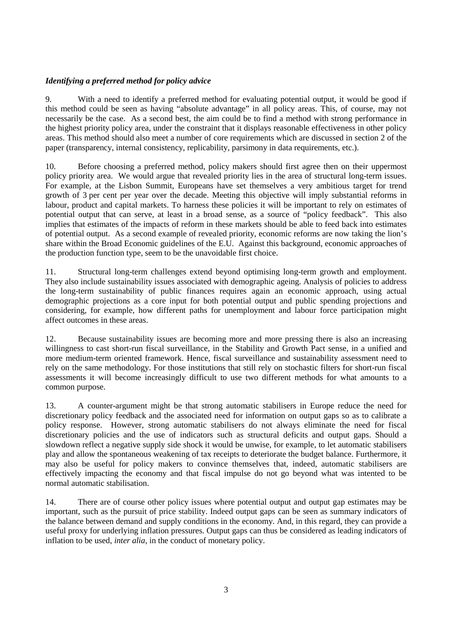# *Identifying a preferred method for policy advice*

9. With a need to identify a preferred method for evaluating potential output, it would be good if this method could be seen as having "absolute advantage" in all policy areas. This, of course, may not necessarily be the case. As a second best, the aim could be to find a method with strong performance in the highest priority policy area, under the constraint that it displays reasonable effectiveness in other policy areas. This method should also meet a number of core requirements which are discussed in section 2 of the paper (transparency, internal consistency, replicability, parsimony in data requirements, etc.).

10. Before choosing a preferred method, policy makers should first agree then on their uppermost policy priority area. We would argue that revealed priority lies in the area of structural long-term issues. For example, at the Lisbon Summit, Europeans have set themselves a very ambitious target for trend growth of 3 per cent per year over the decade. Meeting this objective will imply substantial reforms in labour, product and capital markets. To harness these policies it will be important to rely on estimates of potential output that can serve, at least in a broad sense, as a source of "policy feedback". This also implies that estimates of the impacts of reform in these markets should be able to feed back into estimates of potential output. As a second example of revealed priority, economic reforms are now taking the lion's share within the Broad Economic guidelines of the E.U. Against this background, economic approaches of the production function type, seem to be the unavoidable first choice.

11. Structural long-term challenges extend beyond optimising long-term growth and employment. They also include sustainability issues associated with demographic ageing. Analysis of policies to address the long-term sustainability of public finances requires again an economic approach, using actual demographic projections as a core input for both potential output and public spending projections and considering, for example, how different paths for unemployment and labour force participation might affect outcomes in these areas.

12. Because sustainability issues are becoming more and more pressing there is also an increasing willingness to cast short-run fiscal surveillance, in the Stability and Growth Pact sense, in a unified and more medium-term oriented framework. Hence, fiscal surveillance and sustainability assessment need to rely on the same methodology. For those institutions that still rely on stochastic filters for short-run fiscal assessments it will become increasingly difficult to use two different methods for what amounts to a common purpose.

13. A counter-argument might be that strong automatic stabilisers in Europe reduce the need for discretionary policy feedback and the associated need for information on output gaps so as to calibrate a policy response. However, strong automatic stabilisers do not always eliminate the need for fiscal discretionary policies and the use of indicators such as structural deficits and output gaps. Should a slowdown reflect a negative supply side shock it would be unwise, for example, to let automatic stabilisers play and allow the spontaneous weakening of tax receipts to deteriorate the budget balance. Furthermore, it may also be useful for policy makers to convince themselves that, indeed, automatic stabilisers are effectively impacting the economy and that fiscal impulse do not go beyond what was intented to be normal automatic stabilisation.

14. There are of course other policy issues where potential output and output gap estimates may be important, such as the pursuit of price stability. Indeed output gaps can be seen as summary indicators of the balance between demand and supply conditions in the economy. And, in this regard, they can provide a useful proxy for underlying inflation pressures. Output gaps can thus be considered as leading indicators of inflation to be used, *inter alia*, in the conduct of monetary policy.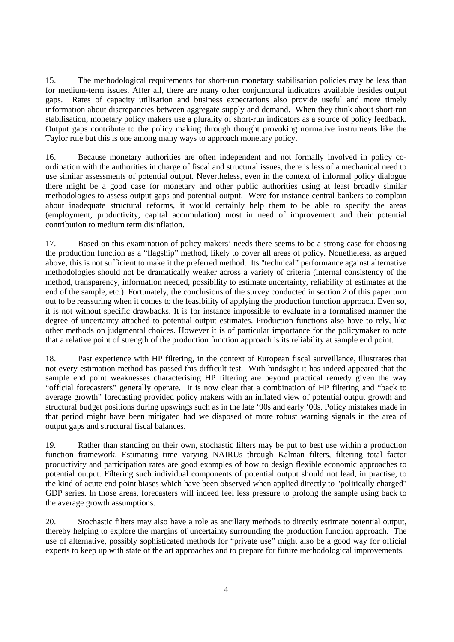15. The methodological requirements for short-run monetary stabilisation policies may be less than for medium-term issues. After all, there are many other conjunctural indicators available besides output gaps. Rates of capacity utilisation and business expectations also provide useful and more timely information about discrepancies between aggregate supply and demand. When they think about short-run stabilisation, monetary policy makers use a plurality of short-run indicators as a source of policy feedback. Output gaps contribute to the policy making through thought provoking normative instruments like the Taylor rule but this is one among many ways to approach monetary policy.

16. Because monetary authorities are often independent and not formally involved in policy coordination with the authorities in charge of fiscal and structural issues, there is less of a mechanical need to use similar assessments of potential output. Nevertheless, even in the context of informal policy dialogue there might be a good case for monetary and other public authorities using at least broadly similar methodologies to assess output gaps and potential output. Were for instance central bankers to complain about inadequate structural reforms, it would certainly help them to be able to specify the areas (employment, productivity, capital accumulation) most in need of improvement and their potential contribution to medium term disinflation.

17. Based on this examination of policy makers' needs there seems to be a strong case for choosing the production function as a "flagship" method, likely to cover all areas of policy. Nonetheless, as argued above, this is not sufficient to make it the preferred method. Its "technical" performance against alternative methodologies should not be dramatically weaker across a variety of criteria (internal consistency of the method, transparency, information needed, possibility to estimate uncertainty, reliability of estimates at the end of the sample, etc.). Fortunately, the conclusions of the survey conducted in section 2 of this paper turn out to be reassuring when it comes to the feasibility of applying the production function approach. Even so, it is not without specific drawbacks. It is for instance impossible to evaluate in a formalised manner the degree of uncertainty attached to potential output estimates. Production functions also have to rely, like other methods on judgmental choices. However it is of particular importance for the policymaker to note that a relative point of strength of the production function approach is its reliability at sample end point.

18. Past experience with HP filtering, in the context of European fiscal surveillance, illustrates that not every estimation method has passed this difficult test. With hindsight it has indeed appeared that the sample end point weaknesses characterising HP filtering are beyond practical remedy given the way "official forecasters" generally operate. It is now clear that a combination of HP filtering and "back to average growth" forecasting provided policy makers with an inflated view of potential output growth and structural budget positions during upswings such as in the late '90s and early '00s. Policy mistakes made in that period might have been mitigated had we disposed of more robust warning signals in the area of output gaps and structural fiscal balances.

19. Rather than standing on their own, stochastic filters may be put to best use within a production function framework. Estimating time varying NAIRUs through Kalman filters, filtering total factor productivity and participation rates are good examples of how to design flexible economic approaches to potential output. Filtering such individual components of potential output should not lead, in practise, to the kind of acute end point biases which have been observed when applied directly to "politically charged" GDP series. In those areas, forecasters will indeed feel less pressure to prolong the sample using back to the average growth assumptions.

20. Stochastic filters may also have a role as ancillary methods to directly estimate potential output, thereby helping to explore the margins of uncertainty surrounding the production function approach. The use of alternative, possibly sophisticated methods for "private use" might also be a good way for official experts to keep up with state of the art approaches and to prepare for future methodological improvements.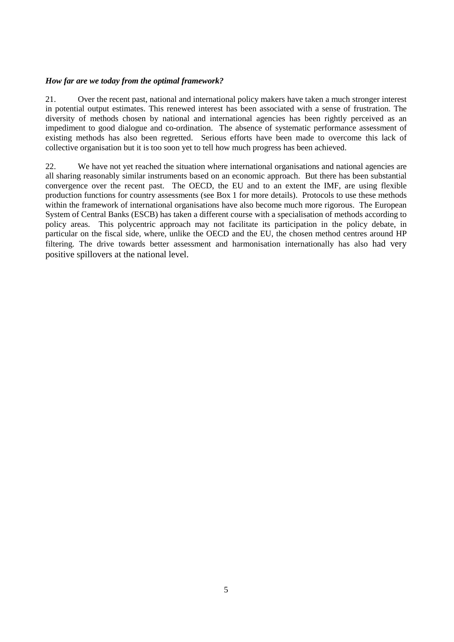## *How far are we today from the optimal framework?*

21. Over the recent past, national and international policy makers have taken a much stronger interest in potential output estimates. This renewed interest has been associated with a sense of frustration. The diversity of methods chosen by national and international agencies has been rightly perceived as an impediment to good dialogue and co-ordination. The absence of systematic performance assessment of existing methods has also been regretted. Serious efforts have been made to overcome this lack of collective organisation but it is too soon yet to tell how much progress has been achieved.

22. We have not yet reached the situation where international organisations and national agencies are all sharing reasonably similar instruments based on an economic approach. But there has been substantial convergence over the recent past. The OECD, the EU and to an extent the IMF, are using flexible production functions for country assessments (see Box 1 for more details). Protocols to use these methods within the framework of international organisations have also become much more rigorous. The European System of Central Banks (ESCB) has taken a different course with a specialisation of methods according to policy areas. This polycentric approach may not facilitate its participation in the policy debate, in particular on the fiscal side, where, unlike the OECD and the EU, the chosen method centres around HP filtering. The drive towards better assessment and harmonisation internationally has also had very positive spillovers at the national level.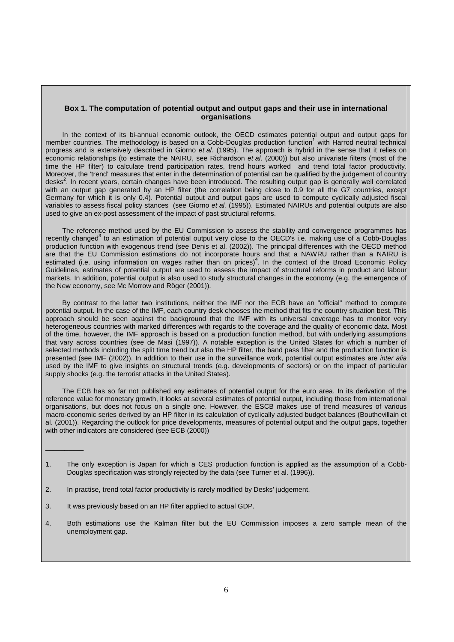#### **Box 1. The computation of potential output and output gaps and their use in international organisations**

In the context of its bi-annual economic outlook, the OECD estimates potential output and output gaps for member countries. The methodology is based on a Cobb-Douglas production function<sup>1</sup> with Harrod neutral technical progress and is extensively described in Giorno et al. (1995). The approach is hybrid in the sense that it relies on economic relationships (to estimate the NAIRU, see Richardson et al. (2000)) but also univariate filters (most of the time the HP filter) to calculate trend participation rates, trend hours worked and trend total factor productivity. Moreover, the 'trend' measures that enter in the determination of potential can be qualified by the judgement of country desks<sup>2</sup>. In recent years, certain changes have been introduced. The resulting output gap is generally well correlated with an output gap generated by an HP filter (the correlation being close to 0.9 for all the G7 countries, except Germany for which it is only 0.4). Potential output and output gaps are used to compute cyclically adjusted fiscal variables to assess fiscal policy stances (see Giorno et al. (1995)). Estimated NAIRUs and potential outputs are also used to give an ex-post assessment of the impact of past structural reforms.

The reference method used by the EU Commission to assess the stability and convergence programmes has recently changed<sup>3</sup> to an estimation of potential output very close to the OECD's i.e. making use of a Cobb-Douglas production function with exogenous trend (see Denis et al. (2002)). The principal differences with the OECD method are that the EU Commission estimations do not incorporate hours and that a NAWRU rather than a NAIRU is estimated (i.e. using information on wages rather than on prices)<sup>4</sup>. In the context of the Broad Economic Policy Guidelines, estimates of potential output are used to assess the impact of structural reforms in product and labour markets. In addition, potential output is also used to study structural changes in the economy (e.g. the emergence of the New economy, see Mc Morrow and Röger (2001)).

By contrast to the latter two institutions, neither the IMF nor the ECB have an "official" method to compute potential output. In the case of the IMF, each country desk chooses the method that fits the country situation best. This approach should be seen against the background that the IMF with its universal coverage has to monitor very heterogeneous countries with marked differences with regards to the coverage and the quality of economic data. Most of the time, however, the IMF approach is based on a production function method, but with underlying assumptions that vary across countries (see de Masi (1997)). A notable exception is the United States for which a number of selected methods including the split time trend but also the HP filter, the band pass filter and the production function is presented (see IMF (2002)). In addition to their use in the surveillance work, potential output estimates are *inter alia* used by the IMF to give insights on structural trends (e.g. developments of sectors) or on the impact of particular supply shocks (e.g. the terrorist attacks in the United States).

The ECB has so far not published any estimates of potential output for the euro area. In its derivation of the reference value for monetary growth, it looks at several estimates of potential output, including those from international organisations, but does not focus on a single one. However, the ESCB makes use of trend measures of various macro-economic series derived by an HP filter in its calculation of cyclically adjusted budget balances (Bouthevillain et al. (2001)). Regarding the outlook for price developments, measures of potential output and the output gaps, together with other indicators are considered (see ECB (2000))

- 1. The only exception is Japan for which a CES production function is applied as the assumption of a Cobb-Douglas specification was strongly rejected by the data (see Turner et al. (1996)).
- 2. In practise, trend total factor productivity is rarely modified by Desks' judgement.
- 3. It was previously based on an HP filter applied to actual GDP.

 $\overline{\phantom{a}}$  . The set of the set of the set of the set of the set of the set of the set of the set of the set of the set of the set of the set of the set of the set of the set of the set of the set of the set of the set o

4. Both estimations use the Kalman filter but the EU Commission imposes a zero sample mean of the unemployment gap.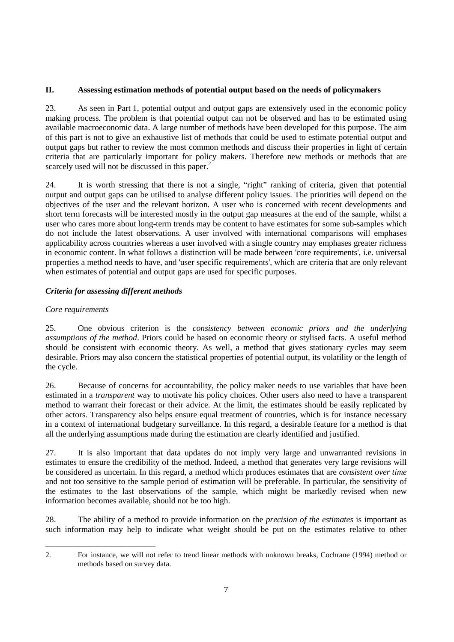# **II. Assessing estimation methods of potential output based on the needs of policymakers**

23. As seen in Part 1, potential output and output gaps are extensively used in the economic policy making process. The problem is that potential output can not be observed and has to be estimated using available macroeconomic data. A large number of methods have been developed for this purpose. The aim of this part is not to give an exhaustive list of methods that could be used to estimate potential output and output gaps but rather to review the most common methods and discuss their properties in light of certain criteria that are particularly important for policy makers. Therefore new methods or methods that are scarcely used will not be discussed in this paper.<sup>2</sup>

24. It is worth stressing that there is not a single, "right" ranking of criteria, given that potential output and output gaps can be utilised to analyse different policy issues. The priorities will depend on the objectives of the user and the relevant horizon. A user who is concerned with recent developments and short term forecasts will be interested mostly in the output gap measures at the end of the sample, whilst a user who cares more about long-term trends may be content to have estimates for some sub-samples which do not include the latest observations. A user involved with international comparisons will emphases applicability across countries whereas a user involved with a single country may emphases greater richness in economic content. In what follows a distinction will be made between 'core requirements', i.e. universal properties a method needs to have, and 'user specific requirements', which are criteria that are only relevant when estimates of potential and output gaps are used for specific purposes.

# *Criteria for assessing different methods*

# *Core requirements*

25. One obvious criterion is the *consistency between economic priors and the underlying assumptions of the method*. Priors could be based on economic theory or stylised facts. A useful method should be consistent with economic theory. As well, a method that gives stationary cycles may seem desirable. Priors may also concern the statistical properties of potential output, its volatility or the length of the cycle.

26. Because of concerns for accountability, the policy maker needs to use variables that have been estimated in a *transparent* way to motivate his policy choices. Other users also need to have a transparent method to warrant their forecast or their advice. At the limit, the estimates should be easily replicated by other actors. Transparency also helps ensure equal treatment of countries, which is for instance necessary in a context of international budgetary surveillance. In this regard, a desirable feature for a method is that all the underlying assumptions made during the estimation are clearly identified and justified.

27. It is also important that data updates do not imply very large and unwarranted revisions in estimates to ensure the credibility of the method. Indeed, a method that generates very large revisions will be considered as uncertain. In this regard, a method which produces estimates that are *consistent over time* and not too sensitive to the sample period of estimation will be preferable. In particular, the sensitivity of the estimates to the last observations of the sample, which might be markedly revised when new information becomes available, should not be too high.

28. The ability of a method to provide information on the *precision of the estimates* is important as such information may help to indicate what weight should be put on the estimates relative to other

 2. For instance, we will not refer to trend linear methods with unknown breaks, Cochrane (1994) method or methods based on survey data.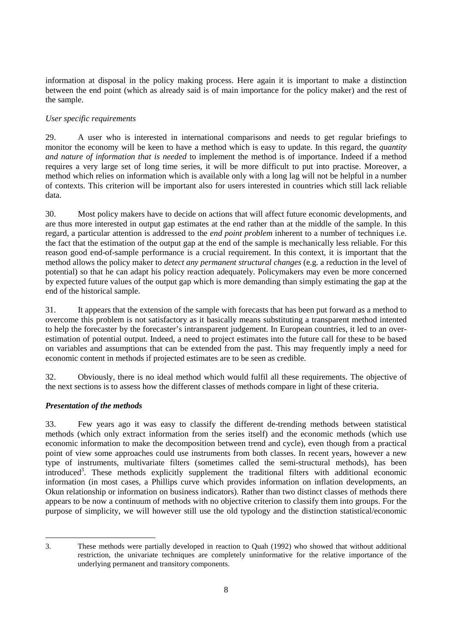information at disposal in the policy making process. Here again it is important to make a distinction between the end point (which as already said is of main importance for the policy maker) and the rest of the sample.

# *User specific requirements*

29. A user who is interested in international comparisons and needs to get regular briefings to monitor the economy will be keen to have a method which is easy to update. In this regard, the *quantity and nature of information that is needed* to implement the method is of importance. Indeed if a method requires a very large set of long time series, it will be more difficult to put into practise. Moreover, a method which relies on information which is available only with a long lag will not be helpful in a number of contexts. This criterion will be important also for users interested in countries which still lack reliable data.

30. Most policy makers have to decide on actions that will affect future economic developments, and are thus more interested in output gap estimates at the end rather than at the middle of the sample. In this regard, a particular attention is addressed to the *end point problem* inherent to a number of techniques i.e. the fact that the estimation of the output gap at the end of the sample is mechanically less reliable. For this reason good end-of-sample performance is a crucial requirement. In this context, it is important that the method allows the policy maker to *detect any permanent structural changes* (e.g. a reduction in the level of potential) so that he can adapt his policy reaction adequately. Policymakers may even be more concerned by expected future values of the output gap which is more demanding than simply estimating the gap at the end of the historical sample.

31. It appears that the extension of the sample with forecasts that has been put forward as a method to overcome this problem is not satisfactory as it basically means substituting a transparent method intented to help the forecaster by the forecaster's intransparent judgement. In European countries, it led to an overestimation of potential output. Indeed, a need to project estimates into the future call for these to be based on variables and assumptions that can be extended from the past. This may frequently imply a need for economic content in methods if projected estimates are to be seen as credible.

32. Obviously, there is no ideal method which would fulfil all these requirements. The objective of the next sections is to assess how the different classes of methods compare in light of these criteria.

# *Presentation of the methods*

33. Few years ago it was easy to classify the different de-trending methods between statistical methods (which only extract information from the series itself) and the economic methods (which use economic information to make the decomposition between trend and cycle), even though from a practical point of view some approaches could use instruments from both classes. In recent years, however a new type of instruments, multivariate filters (sometimes called the semi-structural methods), has been introduced<sup>3</sup>. These methods explicitly supplement the traditional filters with additional economic information (in most cases, a Phillips curve which provides information on inflation developments, an Okun relationship or information on business indicators). Rather than two distinct classes of methods there appears to be now a continuum of methods with no objective criterion to classify them into groups. For the purpose of simplicity, we will however still use the old typology and the distinction statistical/economic

 $\overline{a}$ 3. These methods were partially developed in reaction to Quah (1992) who showed that without additional restriction, the univariate techniques are completely uninformative for the relative importance of the underlying permanent and transitory components.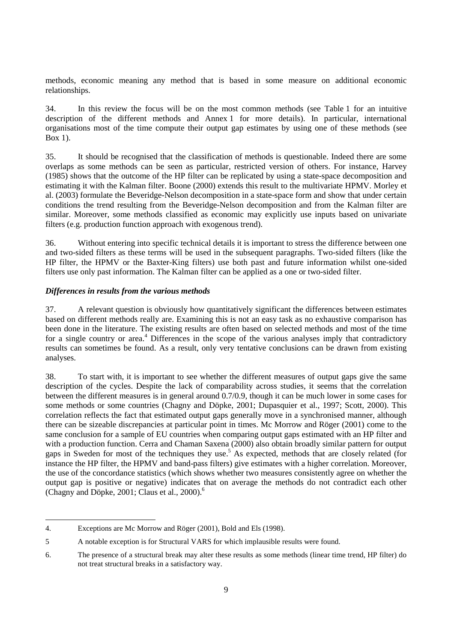methods, economic meaning any method that is based in some measure on additional economic relationships.

34. In this review the focus will be on the most common methods (see Table 1 for an intuitive description of the different methods and Annex 1 for more details). In particular, international organisations most of the time compute their output gap estimates by using one of these methods (see Box 1).

35. It should be recognised that the classification of methods is questionable. Indeed there are some overlaps as some methods can be seen as particular, restricted version of others. For instance, Harvey (1985) shows that the outcome of the HP filter can be replicated by using a state-space decomposition and estimating it with the Kalman filter. Boone (2000) extends this result to the multivariate HPMV. Morley et al. (2003) formulate the Beveridge-Nelson decomposition in a state-space form and show that under certain conditions the trend resulting from the Beveridge-Nelson decomposition and from the Kalman filter are similar. Moreover, some methods classified as economic may explicitly use inputs based on univariate filters (e.g. production function approach with exogenous trend).

36. Without entering into specific technical details it is important to stress the difference between one and two-sided filters as these terms will be used in the subsequent paragraphs. Two-sided filters (like the HP filter, the HPMV or the Baxter-King filters) use both past and future information whilst one-sided filters use only past information. The Kalman filter can be applied as a one or two-sided filter.

## *Differences in results from the various methods*

37. A relevant question is obviously how quantitatively significant the differences between estimates based on different methods really are. Examining this is not an easy task as no exhaustive comparison has been done in the literature. The existing results are often based on selected methods and most of the time for a single country or area.<sup>4</sup> Differences in the scope of the various analyses imply that contradictory results can sometimes be found. As a result, only very tentative conclusions can be drawn from existing analyses.

38. To start with, it is important to see whether the different measures of output gaps give the same description of the cycles. Despite the lack of comparability across studies, it seems that the correlation between the different measures is in general around 0.7/0.9, though it can be much lower in some cases for some methods or some countries (Chagny and Döpke, 2001; Dupasquier et al., 1997; Scott, 2000). This correlation reflects the fact that estimated output gaps generally move in a synchronised manner, although there can be sizeable discrepancies at particular point in times. Mc Morrow and Röger (2001) come to the same conclusion for a sample of EU countries when comparing output gaps estimated with an HP filter and with a production function. Cerra and Chaman Saxena (2000) also obtain broadly similar pattern for output gaps in Sweden for most of the techniques they use.<sup>5</sup> As expected, methods that are closely related (for instance the HP filter, the HPMV and band-pass filters) give estimates with a higher correlation. Moreover, the use of the concordance statistics (which shows whether two measures consistently agree on whether the output gap is positive or negative) indicates that on average the methods do not contradict each other (Chagny and Döpke, 2001; Claus et al., 2000). $<sup>6</sup>$ </sup>

 $\overline{a}$ 

<sup>4.</sup> Exceptions are Mc Morrow and Röger (2001), Bold and Els (1998).

<sup>5</sup> A notable exception is for Structural VARS for which implausible results were found.

<sup>6.</sup> The presence of a structural break may alter these results as some methods (linear time trend, HP filter) do not treat structural breaks in a satisfactory way.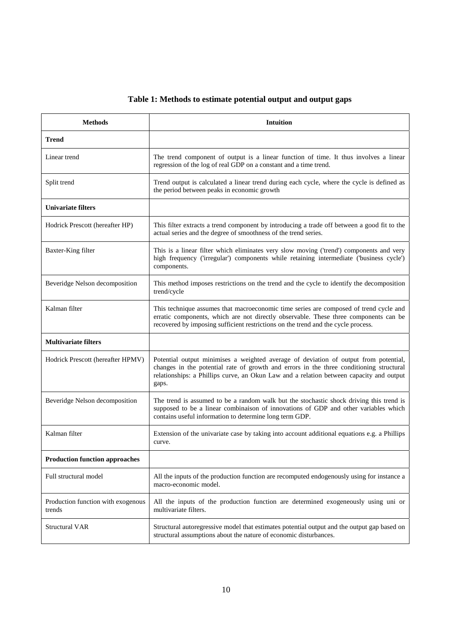# **Table 1: Methods to estimate potential output and output gaps**

| <b>Methods</b>                               | <b>Intuition</b>                                                                                                                                                                                                                                                                    |
|----------------------------------------------|-------------------------------------------------------------------------------------------------------------------------------------------------------------------------------------------------------------------------------------------------------------------------------------|
| Trend                                        |                                                                                                                                                                                                                                                                                     |
| Linear trend                                 | The trend component of output is a linear function of time. It thus involves a linear<br>regression of the log of real GDP on a constant and a time trend.                                                                                                                          |
| Split trend                                  | Trend output is calculated a linear trend during each cycle, where the cycle is defined as<br>the period between peaks in economic growth                                                                                                                                           |
| <b>Univariate filters</b>                    |                                                                                                                                                                                                                                                                                     |
| Hodrick Prescott (hereafter HP)              | This filter extracts a trend component by introducing a trade off between a good fit to the<br>actual series and the degree of smoothness of the trend series.                                                                                                                      |
| Baxter-King filter                           | This is a linear filter which eliminates very slow moving ('trend') components and very<br>high frequency ('irregular') components while retaining intermediate ('business cycle')<br>components.                                                                                   |
| Beveridge Nelson decomposition               | This method imposes restrictions on the trend and the cycle to identify the decomposition<br>trend/cycle                                                                                                                                                                            |
| Kalman filter                                | This technique assumes that macroeconomic time series are composed of trend cycle and<br>erratic components, which are not directly observable. These three components can be<br>recovered by imposing sufficient restrictions on the trend and the cycle process.                  |
| <b>Multivariate filters</b>                  |                                                                                                                                                                                                                                                                                     |
| Hodrick Prescott (hereafter HPMV)            | Potential output minimises a weighted average of deviation of output from potential,<br>changes in the potential rate of growth and errors in the three conditioning structural<br>relationships: a Phillips curve, an Okun Law and a relation between capacity and output<br>gaps. |
| Beveridge Nelson decomposition               | The trend is assumed to be a random walk but the stochastic shock driving this trend is<br>supposed to be a linear combinaison of innovations of GDP and other variables which<br>contains useful information to determine long term GDP.                                           |
| Kalman filter                                | Extension of the univariate case by taking into account additional equations e.g. a Phillips<br>curve.                                                                                                                                                                              |
| <b>Production function approaches</b>        |                                                                                                                                                                                                                                                                                     |
| Full structural model                        | All the inputs of the production function are recomputed endogenously using for instance a<br>macro-economic model.                                                                                                                                                                 |
| Production function with exogenous<br>trends | All the inputs of the production function are determined exogeneously using uni or<br>multivariate filters.                                                                                                                                                                         |
| <b>Structural VAR</b>                        | Structural autoregressive model that estimates potential output and the output gap based on<br>structural assumptions about the nature of economic disturbances.                                                                                                                    |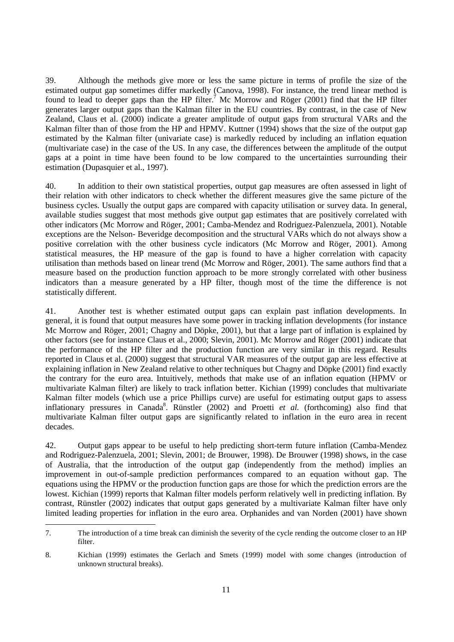39. Although the methods give more or less the same picture in terms of profile the size of the estimated output gap sometimes differ markedly (Canova, 1998). For instance, the trend linear method is found to lead to deeper gaps than the HP filter.<sup>7</sup> Mc Morrow and Röger (2001) find that the HP filter generates larger output gaps than the Kalman filter in the EU countries. By contrast, in the case of New Zealand, Claus et al. (2000) indicate a greater amplitude of output gaps from structural VARs and the Kalman filter than of those from the HP and HPMV. Kuttner (1994) shows that the size of the output gap estimated by the Kalman filter (univariate case) is markedly reduced by including an inflation equation (multivariate case) in the case of the US. In any case, the differences between the amplitude of the output gaps at a point in time have been found to be low compared to the uncertainties surrounding their estimation (Dupasquier et al., 1997).

40. In addition to their own statistical properties, output gap measures are often assessed in light of their relation with other indicators to check whether the different measures give the same picture of the business cycles. Usually the output gaps are compared with capacity utilisation or survey data. In general, available studies suggest that most methods give output gap estimates that are positively correlated with other indicators (Mc Morrow and Röger, 2001; Camba-Mendez and Rodriguez-Palenzuela, 2001). Notable exceptions are the Nelson- Beveridge decomposition and the structural VARs which do not always show a positive correlation with the other business cycle indicators (Mc Morrow and Röger, 2001). Among statistical measures, the HP measure of the gap is found to have a higher correlation with capacity utilisation than methods based on linear trend (Mc Morrow and Röger, 2001). The same authors find that a measure based on the production function approach to be more strongly correlated with other business indicators than a measure generated by a HP filter, though most of the time the difference is not statistically different.

41. Another test is whether estimated output gaps can explain past inflation developments. In general, it is found that output measures have some power in tracking inflation developments (for instance Mc Morrow and Röger, 2001; Chagny and Döpke, 2001), but that a large part of inflation is explained by other factors (see for instance Claus et al., 2000; Slevin, 2001). Mc Morrow and Röger (2001) indicate that the performance of the HP filter and the production function are very similar in this regard. Results reported in Claus et al. (2000) suggest that structural VAR measures of the output gap are less effective at explaining inflation in New Zealand relative to other techniques but Chagny and Döpke (2001) find exactly the contrary for the euro area. Intuitively, methods that make use of an inflation equation (HPMV or multivariate Kalman filter) are likely to track inflation better. Kichian (1999) concludes that multivariate Kalman filter models (which use a price Phillips curve) are useful for estimating output gaps to assess inflationary pressures in Canada<sup>8</sup>. Rünstler (2002) and Proetti et al. (forthcoming) also find that multivariate Kalman filter output gaps are significantly related to inflation in the euro area in recent decades.

42. Output gaps appear to be useful to help predicting short-term future inflation (Camba-Mendez and Rodriguez-Palenzuela, 2001; Slevin, 2001; de Brouwer, 1998). De Brouwer (1998) shows, in the case of Australia, that the introduction of the output gap (independently from the method) implies an improvement in out-of-sample prediction performances compared to an equation without gap. The equations using the HPMV or the production function gaps are those for which the prediction errors are the lowest. Kichian (1999) reports that Kalman filter models perform relatively well in predicting inflation. By contrast, Rünstler (2002) indicates that output gaps generated by a multivariate Kalman filter have only limited leading properties for inflation in the euro area. Orphanides and van Norden (2001) have shown

 $\overline{a}$ 

<sup>7.</sup> The introduction of a time break can diminish the severity of the cycle rending the outcome closer to an HP filter.

<sup>8.</sup> Kichian (1999) estimates the Gerlach and Smets (1999) model with some changes (introduction of unknown structural breaks).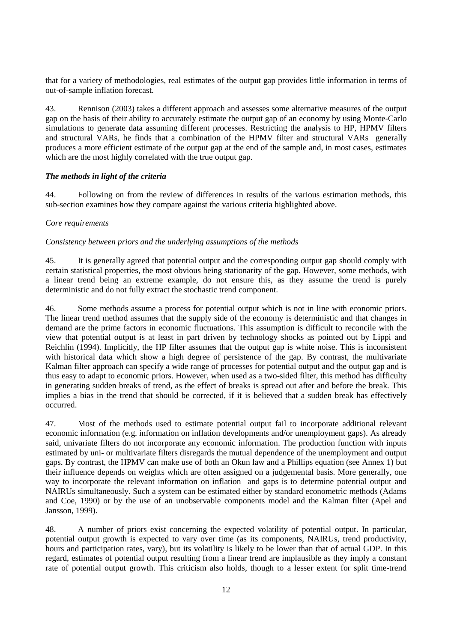that for a variety of methodologies, real estimates of the output gap provides little information in terms of out-of-sample inflation forecast.

43. Rennison (2003) takes a different approach and assesses some alternative measures of the output gap on the basis of their ability to accurately estimate the output gap of an economy by using Monte-Carlo simulations to generate data assuming different processes. Restricting the analysis to HP, HPMV filters and structural VARs, he finds that a combination of the HPMV filter and structural VARs generally produces a more efficient estimate of the output gap at the end of the sample and, in most cases, estimates which are the most highly correlated with the true output gap.

## *The methods in light of the criteria*

44. Following on from the review of differences in results of the various estimation methods, this sub-section examines how they compare against the various criteria highlighted above.

## *Core requirements*

#### *Consistency between priors and the underlying assumptions of the methods*

45. It is generally agreed that potential output and the corresponding output gap should comply with certain statistical properties, the most obvious being stationarity of the gap. However, some methods, with a linear trend being an extreme example, do not ensure this, as they assume the trend is purely deterministic and do not fully extract the stochastic trend component.

46. Some methods assume a process for potential output which is not in line with economic priors. The linear trend method assumes that the supply side of the economy is deterministic and that changes in demand are the prime factors in economic fluctuations. This assumption is difficult to reconcile with the view that potential output is at least in part driven by technology shocks as pointed out by Lippi and Reichlin (1994). Implicitly, the HP filter assumes that the output gap is white noise. This is inconsistent with historical data which show a high degree of persistence of the gap. By contrast, the multivariate Kalman filter approach can specify a wide range of processes for potential output and the output gap and is thus easy to adapt to economic priors. However, when used as a two-sided filter, this method has difficulty in generating sudden breaks of trend, as the effect of breaks is spread out after and before the break. This implies a bias in the trend that should be corrected, if it is believed that a sudden break has effectively occurred.

47. Most of the methods used to estimate potential output fail to incorporate additional relevant economic information (e.g. information on inflation developments and/or unemployment gaps). As already said, univariate filters do not incorporate any economic information. The production function with inputs estimated by uni- or multivariate filters disregards the mutual dependence of the unemployment and output gaps. By contrast, the HPMV can make use of both an Okun law and a Phillips equation (see Annex 1) but their influence depends on weights which are often assigned on a judgemental basis. More generally, one way to incorporate the relevant information on inflation and gaps is to determine potential output and NAIRUs simultaneously. Such a system can be estimated either by standard econometric methods (Adams and Coe, 1990) or by the use of an unobservable components model and the Kalman filter (Apel and Jansson, 1999).

48. A number of priors exist concerning the expected volatility of potential output. In particular, potential output growth is expected to vary over time (as its components, NAIRUs, trend productivity, hours and participation rates, vary), but its volatility is likely to be lower than that of actual GDP. In this regard, estimates of potential output resulting from a linear trend are implausible as they imply a constant rate of potential output growth. This criticism also holds, though to a lesser extent for split time-trend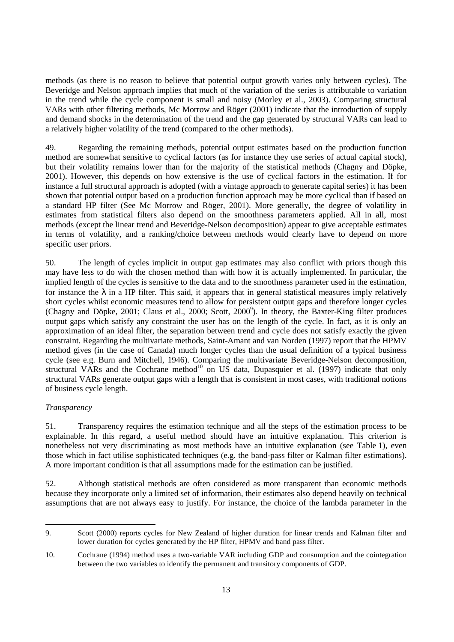methods (as there is no reason to believe that potential output growth varies only between cycles). The Beveridge and Nelson approach implies that much of the variation of the series is attributable to variation in the trend while the cycle component is small and noisy (Morley et al., 2003). Comparing structural VARs with other filtering methods, Mc Morrow and Röger (2001) indicate that the introduction of supply and demand shocks in the determination of the trend and the gap generated by structural VARs can lead to a relatively higher volatility of the trend (compared to the other methods).

49. Regarding the remaining methods, potential output estimates based on the production function method are somewhat sensitive to cyclical factors (as for instance they use series of actual capital stock), but their volatility remains lower than for the majority of the statistical methods (Chagny and Döpke, 2001). However, this depends on how extensive is the use of cyclical factors in the estimation. If for instance a full structural approach is adopted (with a vintage approach to generate capital series) it has been shown that potential output based on a production function approach may be more cyclical than if based on a standard HP filter (See Mc Morrow and Röger, 2001). More generally, the degree of volatility in estimates from statistical filters also depend on the smoothness parameters applied. All in all, most methods (except the linear trend and Beveridge-Nelson decomposition) appear to give acceptable estimates in terms of volatility, and a ranking/choice between methods would clearly have to depend on more specific user priors.

50. The length of cycles implicit in output gap estimates may also conflict with priors though this may have less to do with the chosen method than with how it is actually implemented. In particular, the implied length of the cycles is sensitive to the data and to the smoothness parameter used in the estimation, for instance the  $\lambda$  in a HP filter. This said, it appears that in general statistical measures imply relatively short cycles whilst economic measures tend to allow for persistent output gaps and therefore longer cycles (Chagny and Döpke, 2001; Claus et al., 2000; Scott, 2000<sup>9</sup>). In theory, the Baxter-King filter produces output gaps which satisfy any constraint the user has on the length of the cycle. In fact, as it is only an approximation of an ideal filter, the separation between trend and cycle does not satisfy exactly the given constraint. Regarding the multivariate methods, Saint-Amant and van Norden (1997) report that the HPMV method gives (in the case of Canada) much longer cycles than the usual definition of a typical business cycle (see e.g. Burn and Mitchell, 1946). Comparing the multivariate Beveridge-Nelson decomposition, structural VARs and the Cochrane method<sup>10</sup> on US data, Dupasquier et al. (1997) indicate that only structural VARs generate output gaps with a length that is consistent in most cases, with traditional notions of business cycle length.

## *Transparency*

 $\overline{a}$ 

51. Transparency requires the estimation technique and all the steps of the estimation process to be explainable. In this regard, a useful method should have an intuitive explanation. This criterion is nonetheless not very discriminating as most methods have an intuitive explanation (see Table 1), even those which in fact utilise sophisticated techniques (e.g. the band-pass filter or Kalman filter estimations). A more important condition is that all assumptions made for the estimation can be justified.

52. Although statistical methods are often considered as more transparent than economic methods because they incorporate only a limited set of information, their estimates also depend heavily on technical assumptions that are not always easy to justify. For instance, the choice of the lambda parameter in the

<sup>9.</sup> Scott (2000) reports cycles for New Zealand of higher duration for linear trends and Kalman filter and lower duration for cycles generated by the HP filter, HPMV and band pass filter.

<sup>10.</sup> Cochrane (1994) method uses a two-variable VAR including GDP and consumption and the cointegration between the two variables to identify the permanent and transitory components of GDP.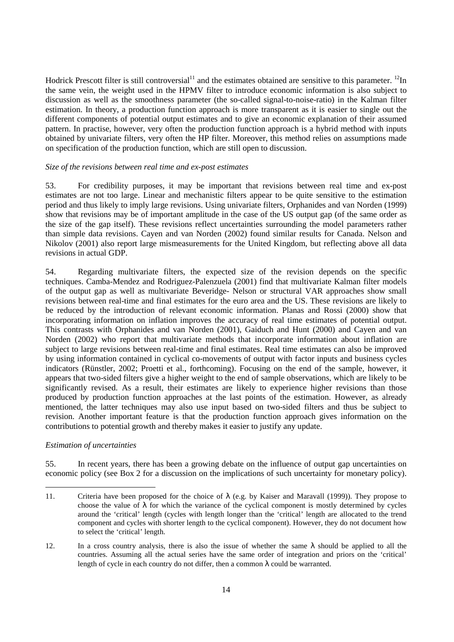Hodrick Prescott filter is still controversial<sup>11</sup> and the estimates obtained are sensitive to this parameter. <sup>12</sup>In the same vein, the weight used in the HPMV filter to introduce economic information is also subject to discussion as well as the smoothness parameter (the so-called signal-to-noise-ratio) in the Kalman filter estimation. In theory, a production function approach is more transparent as it is easier to single out the different components of potential output estimates and to give an economic explanation of their assumed pattern. In practise, however, very often the production function approach is a hybrid method with inputs obtained by univariate filters, very often the HP filter. Moreover, this method relies on assumptions made on specification of the production function, which are still open to discussion.

## *Size of the revisions between real time and ex-post estimates*

53. For credibility purposes, it may be important that revisions between real time and ex-post estimates are not too large. Linear and mechanistic filters appear to be quite sensitive to the estimation period and thus likely to imply large revisions. Using univariate filters, Orphanides and van Norden (1999) show that revisions may be of important amplitude in the case of the US output gap (of the same order as the size of the gap itself). These revisions reflect uncertainties surrounding the model parameters rather than simple data revisions. Cayen and van Norden (2002) found similar results for Canada. Nelson and Nikolov (2001) also report large mismeasurements for the United Kingdom, but reflecting above all data revisions in actual GDP.

54. Regarding multivariate filters, the expected size of the revision depends on the specific techniques. Camba-Mendez and Rodriguez-Palenzuela (2001) find that multivariate Kalman filter models of the output gap as well as multivariate Beveridge- Nelson or structural VAR approaches show small revisions between real-time and final estimates for the euro area and the US. These revisions are likely to be reduced by the introduction of relevant economic information. Planas and Rossi (2000) show that incorporating information on inflation improves the accuracy of real time estimates of potential output. This contrasts with Orphanides and van Norden (2001), Gaiduch and Hunt (2000) and Cayen and van Norden (2002) who report that multivariate methods that incorporate information about inflation are subject to large revisions between real-time and final estimates. Real time estimates can also be improved by using information contained in cyclical co-movements of output with factor inputs and business cycles indicators (Rünstler, 2002; Proetti et al., forthcoming). Focusing on the end of the sample, however, it appears that two-sided filters give a higher weight to the end of sample observations, which are likely to be significantly revised. As a result, their estimates are likely to experience higher revisions than those produced by production function approaches at the last points of the estimation. However, as already mentioned, the latter techniques may also use input based on two-sided filters and thus be subject to revision. Another important feature is that the production function approach gives information on the contributions to potential growth and thereby makes it easier to justify any update.

## *Estimation of uncertainties*

 $\overline{a}$ 

55. In recent years, there has been a growing debate on the influence of output gap uncertainties on economic policy (see Box 2 for a discussion on the implications of such uncertainty for monetary policy).

12. In a cross country analysis, there is also the issue of whether the same  $\lambda$  should be applied to all the countries. Assuming all the actual series have the same order of integration and priors on the 'critical' length of cycle in each country do not differ, then a common  $\lambda$  could be warranted.

<sup>11.</sup> Criteria have been proposed for the choice of  $\lambda$  (e.g. by Kaiser and Maravall (1999)). They propose to choose the value of  $\lambda$  for which the variance of the cyclical component is mostly determined by cycles around the 'critical' length (cycles with length longer than the 'critical' length are allocated to the trend component and cycles with shorter length to the cyclical component). However, they do not document how to select the 'critical' length.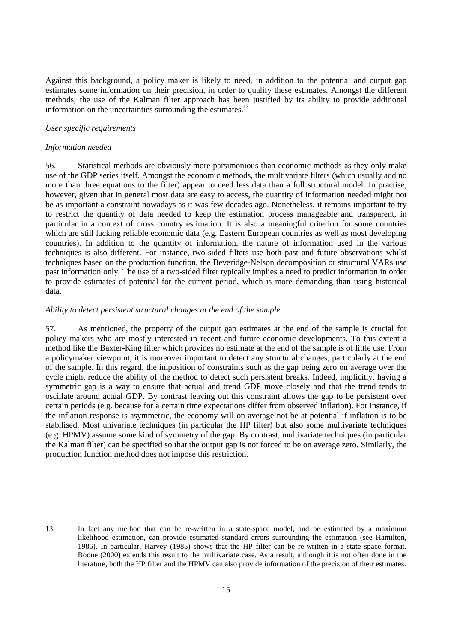Against this background, a policy maker is likely to need, in addition to the potential and output gap estimates some information on their precision, in order to qualify these estimates. Amongst the different methods, the use of the Kalman filter approach has been justified by its ability to provide additional information on the uncertainties surrounding the estimates. $^{13}$ 

## *User specific requirements*

## *Information needed*

 $\overline{a}$ 

56. Statistical methods are obviously more parsimonious than economic methods as they only make use of the GDP series itself. Amongst the economic methods, the multivariate filters (which usually add no more than three equations to the filter) appear to need less data than a full structural model. In practise, however, given that in general most data are easy to access, the quantity of information needed might not be as important a constraint nowadays as it was few decades ago. Nonetheless, it remains important to try to restrict the quantity of data needed to keep the estimation process manageable and transparent, in particular in a context of cross country estimation. It is also a meaningful criterion for some countries which are still lacking reliable economic data (e.g. Eastern European countries as well as most developing countries). In addition to the quantity of information, the nature of information used in the various techniques is also different. For instance, two-sided filters use both past and future observations whilst techniques based on the production function, the Beveridge-Nelson decomposition or structural VARs use past information only. The use of a two-sided filter typically implies a need to predict information in order to provide estimates of potential for the current period, which is more demanding than using historical data.

## *Ability to detect persistent structural changes at the end of the sample*

57. As mentioned, the property of the output gap estimates at the end of the sample is crucial for policy makers who are mostly interested in recent and future economic developments. To this extent a method like the Baxter-King filter which provides no estimate at the end of the sample is of little use. From a policymaker viewpoint, it is moreover important to detect any structural changes, particularly at the end of the sample. In this regard, the imposition of constraints such as the gap being zero on average over the cycle might reduce the ability of the method to detect such persistent breaks. Indeed, implicitly, having a symmetric gap is a way to ensure that actual and trend GDP move closely and that the trend tends to oscillate around actual GDP. By contrast leaving out this constraint allows the gap to be persistent over certain periods (e.g. because for a certain time expectations differ from observed inflation). For instance, if the inflation response is asymmetric, the economy will on average not be at potential if inflation is to be stabilised. Most univariate techniques (in particular the HP filter) but also some multivariate techniques (e.g. HPMV) assume some kind of symmetry of the gap. By contrast, multivariate techniques (in particular the Kalman filter) can be specified so that the output gap is not forced to be on average zero. Similarly, the production function method does not impose this restriction.

<sup>13.</sup> In fact any method that can be re-written in a state-space model, and be estimated by a maximum likelihood estimation, can provide estimated standard errors surrounding the estimation (see Hamilton, 1986). In particular, Harvey (1985) shows that the HP filter can be re-written in a state space format. Boone (2000) extends this result to the multivariate case. As a result, although it is not often done in the literature, both the HP filter and the HPMV can also provide information of the precision of their estimates.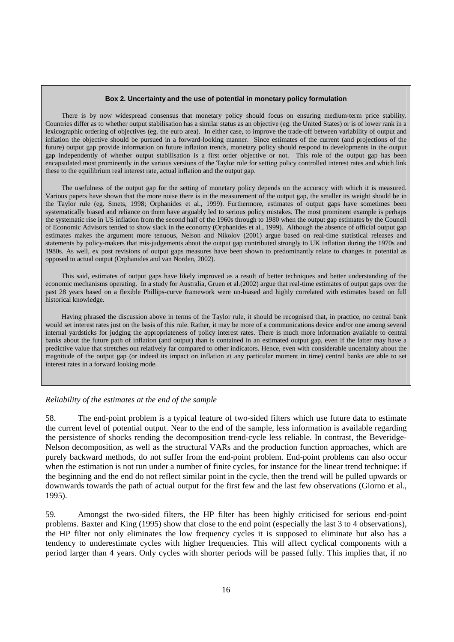#### **Box 2. Uncertainty and the use of potential in monetary policy formulation**

There is by now widespread consensus that monetary policy should focus on ensuring medium-term price stability. Countries differ as to whether output stabilisation has a similar status as an objective (eg. the United States) or is of lower rank in a lexicographic ordering of objectives (eg. the euro area). In either case, to improve the trade-off between variability of output and inflation the objective should be pursued in a forward-looking manner. Since estimates of the current (and projections of the future) output gap provide information on future inflation trends, monetary policy should respond to developments in the output gap independently of whether output stabilisation is a first order objective or not. This role of the output gap has been encapsulated most prominently in the various versions of the Taylor rule for setting policy controlled interest rates and which link these to the equilibrium real interest rate, actual inflation and the output gap.

The usefulness of the output gap for the setting of monetary policy depends on the accuracy with which it is measured. Various papers have shown that the more noise there is in the measurement of the output gap, the smaller its weight should be in the Taylor rule (eg. Smets, 1998; Orphanides et al., 1999). Furthermore, estimates of output gaps have sometimes been systematically biased and reliance on them have arguably led to serious policy mistakes. The most prominent example is perhaps the systematic rise in US inflation from the second half of the 1960s through to 1980 when the output gap estimates by the Council of Economic Advisors tended to show slack in the economy (Orphanides et al., 1999). Although the absence of official output gap estimates makes the argument more tenuous, Nelson and Nikolov (2001) argue based on real-time statistical releases and statements by policy-makers that mis-judgements about the output gap contributed strongly to UK inflation during the 1970s and 1980s. As well, ex post revisions of output gaps measures have been shown to predominantly relate to changes in potential as opposed to actual output (Orphanides and van Norden, 2002).

This said, estimates of output gaps have likely improved as a result of better techniques and better understanding of the economic mechanisms operating. In a study for Australia, Gruen et al.(2002) argue that real-time estimates of output gaps over the past 28 years based on a flexible Phillips-curve framework were un-biased and highly correlated with estimates based on full historical knowledge.

Having phrased the discussion above in terms of the Taylor rule, it should be recognised that, in practice, no central bank would set interest rates just on the basis of this rule. Rather, it may be more of a communications device and/or one among several internal yardsticks for judging the appropriateness of policy interest rates. There is much more information available to central banks about the future path of inflation (and output) than is contained in an estimated output gap, even if the latter may have a predictive value that stretches out relatively far compared to other indicators. Hence, even with considerable uncertainty about the magnitude of the output gap (or indeed its impact on inflation at any particular moment in time) central banks are able to set interest rates in a forward looking mode.

#### *Reliability of the estimates at the end of the sample*

58. The end-point problem is a typical feature of two-sided filters which use future data to estimate the current level of potential output. Near to the end of the sample, less information is available regarding the persistence of shocks rending the decomposition trend-cycle less reliable. In contrast, the Beveridge-Nelson decomposition, as well as the structural VARs and the production function approaches, which are purely backward methods, do not suffer from the end-point problem. End-point problems can also occur when the estimation is not run under a number of finite cycles, for instance for the linear trend technique: if the beginning and the end do not reflect similar point in the cycle, then the trend will be pulled upwards or downwards towards the path of actual output for the first few and the last few observations (Giorno et al., 1995).

59. Amongst the two-sided filters, the HP filter has been highly criticised for serious end-point problems. Baxter and King (1995) show that close to the end point (especially the last 3 to 4 observations), the HP filter not only eliminates the low frequency cycles it is supposed to eliminate but also has a tendency to underestimate cycles with higher frequencies. This will affect cyclical components with a period larger than 4 years. Only cycles with shorter periods will be passed fully. This implies that, if no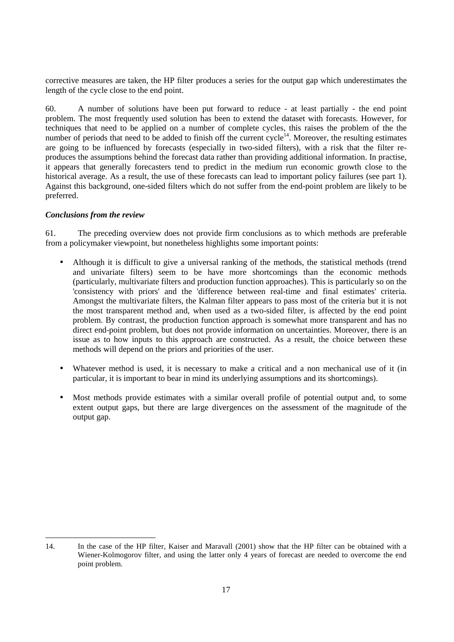corrective measures are taken, the HP filter produces a series for the output gap which underestimates the length of the cycle close to the end point.

60. A number of solutions have been put forward to reduce - at least partially - the end point problem. The most frequently used solution has been to extend the dataset with forecasts. However, for techniques that need to be applied on a number of complete cycles, this raises the problem of the the number of periods that need to be added to finish off the current cycle<sup>14</sup>. Moreover, the resulting estimates are going to be influenced by forecasts (especially in two-sided filters), with a risk that the filter reproduces the assumptions behind the forecast data rather than providing additional information. In practise, it appears that generally forecasters tend to predict in the medium run economic growth close to the historical average. As a result, the use of these forecasts can lead to important policy failures (see part 1). Against this background, one-sided filters which do not suffer from the end-point problem are likely to be preferred.

## *Conclusions from the review*

61. The preceding overview does not provide firm conclusions as to which methods are preferable from a policymaker viewpoint, but nonetheless highlights some important points:

- Although it is difficult to give a universal ranking of the methods, the statistical methods (trend and univariate filters) seem to be have more shortcomings than the economic methods (particularly, multivariate filters and production function approaches). This is particularly so on the 'consistency with priors' and the 'difference between real-time and final estimates' criteria. Amongst the multivariate filters, the Kalman filter appears to pass most of the criteria but it is not the most transparent method and, when used as a two-sided filter, is affected by the end point problem. By contrast, the production function approach is somewhat more transparent and has no direct end-point problem, but does not provide information on uncertainties. Moreover, there is an issue as to how inputs to this approach are constructed. As a result, the choice between these methods will depend on the priors and priorities of the user.
- Whatever method is used, it is necessary to make a critical and a non mechanical use of it (in particular, it is important to bear in mind its underlying assumptions and its shortcomings).
- Most methods provide estimates with a similar overall profile of potential output and, to some extent output gaps, but there are large divergences on the assessment of the magnitude of the output gap.

 $\overline{a}$ 14. In the case of the HP filter, Kaiser and Maravall (2001) show that the HP filter can be obtained with a Wiener-Kolmogorov filter, and using the latter only 4 years of forecast are needed to overcome the end point problem.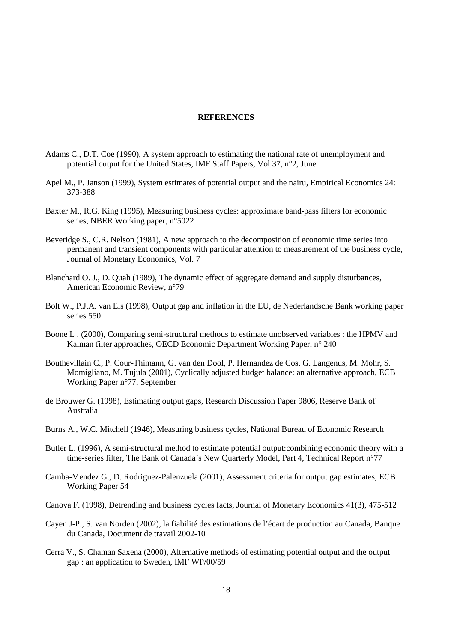#### **REFERENCES**

- Adams C., D.T. Coe (1990), A system approach to estimating the national rate of unemployment and potential output for the United States, IMF Staff Papers, Vol 37, n°2, June
- Apel M., P. Janson (1999), System estimates of potential output and the nairu, Empirical Economics 24: 373-388
- Baxter M., R.G. King (1995), Measuring business cycles: approximate band-pass filters for economic series, NBER Working paper, n°5022
- Beveridge S., C.R. Nelson (1981), A new approach to the decomposition of economic time series into permanent and transient components with particular attention to measurement of the business cycle, Journal of Monetary Economics, Vol. 7
- Blanchard O. J., D. Quah (1989), The dynamic effect of aggregate demand and supply disturbances, American Economic Review, n°79
- Bolt W., P.J.A. van Els (1998), Output gap and inflation in the EU, de Nederlandsche Bank working paper series 550
- Boone L . (2000), Comparing semi-structural methods to estimate unobserved variables : the HPMV and Kalman filter approaches, OECD Economic Department Working Paper, n° 240
- Bouthevillain C., P. Cour-Thimann, G. van den Dool, P. Hernandez de Cos, G. Langenus, M. Mohr, S. Momigliano, M. Tujula (2001), Cyclically adjusted budget balance: an alternative approach, ECB Working Paper n°77, September
- de Brouwer G. (1998), Estimating output gaps, Research Discussion Paper 9806, Reserve Bank of Australia
- Burns A., W.C. Mitchell (1946), Measuring business cycles, National Bureau of Economic Research
- Butler L. (1996), A semi-structural method to estimate potential output:combining economic theory with a time-series filter, The Bank of Canada's New Quarterly Model, Part 4, Technical Report n°77
- Camba-Mendez G., D. Rodriguez-Palenzuela (2001), Assessment criteria for output gap estimates, ECB Working Paper 54
- Canova F. (1998), Detrending and business cycles facts, Journal of Monetary Economics 41(3), 475-512
- Cayen J-P., S. van Norden (2002), la fiabilité des estimations de l'écart de production au Canada, Banque du Canada, Document de travail 2002-10
- Cerra V., S. Chaman Saxena (2000), Alternative methods of estimating potential output and the output gap : an application to Sweden, IMF WP/00/59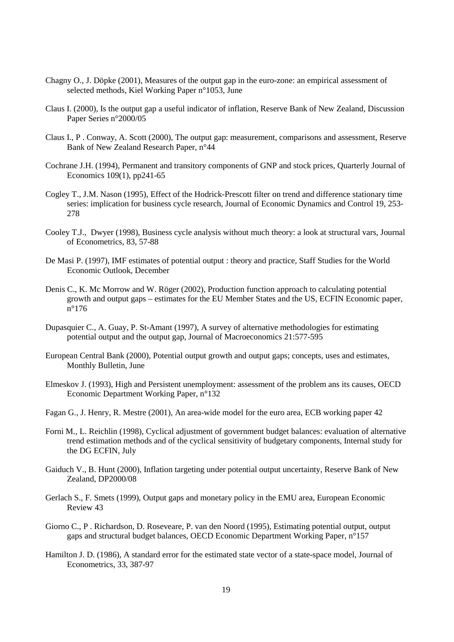- Chagny O., J. Döpke (2001), Measures of the output gap in the euro-zone: an empirical assessment of selected methods, Kiel Working Paper n°1053, June
- Claus I. (2000), Is the output gap a useful indicator of inflation, Reserve Bank of New Zealand, Discussion Paper Series n°2000/05
- Claus I., P . Conway, A. Scott (2000), The output gap: measurement, comparisons and assessment, Reserve Bank of New Zealand Research Paper, n°44
- Cochrane J.H. (1994), Permanent and transitory components of GNP and stock prices, Quarterly Journal of Economics 109(1), pp241-65
- Cogley T., J.M. Nason (1995), Effect of the Hodrick-Prescott filter on trend and difference stationary time series: implication for business cycle research, Journal of Economic Dynamics and Control 19, 253- 278
- Cooley T.J., Dwyer (1998), Business cycle analysis without much theory: a look at structural vars, Journal of Econometrics, 83, 57-88
- De Masi P. (1997), IMF estimates of potential output : theory and practice, Staff Studies for the World Economic Outlook, December
- Denis C., K. Mc Morrow and W. Röger (2002), Production function approach to calculating potential growth and output gaps – estimates for the EU Member States and the US, ECFIN Economic paper, n°176
- Dupasquier C., A. Guay, P. St-Amant (1997), A survey of alternative methodologies for estimating potential output and the output gap, Journal of Macroeconomics 21:577-595
- European Central Bank (2000), Potential output growth and output gaps; concepts, uses and estimates, Monthly Bulletin, June
- Elmeskov J. (1993), High and Persistent unemployment: assessment of the problem ans its causes, OECD Economic Department Working Paper, n°132
- Fagan G., J. Henry, R. Mestre (2001), An area-wide model for the euro area, ECB working paper 42
- Forni M., L. Reichlin (1998), Cyclical adjustment of government budget balances: evaluation of alternative trend estimation methods and of the cyclical sensitivity of budgetary components, Internal study for the DG ECFIN, July
- Gaiduch V., B. Hunt (2000), Inflation targeting under potential output uncertainty, Reserve Bank of New Zealand, DP2000/08
- Gerlach S., F. Smets (1999), Output gaps and monetary policy in the EMU area, European Economic Review 43
- Giorno C., P . Richardson, D. Roseveare, P. van den Noord (1995), Estimating potential output, output gaps and structural budget balances, OECD Economic Department Working Paper, n°157
- Hamilton J. D. (1986), A standard error for the estimated state vector of a state-space model, Journal of Econometrics, 33, 387-97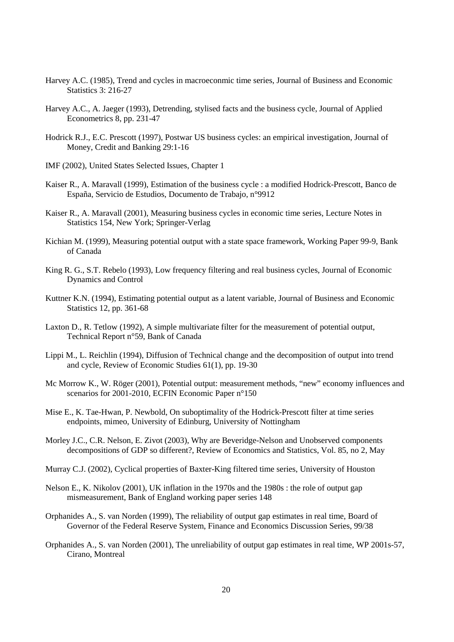- Harvey A.C. (1985), Trend and cycles in macroeconmic time series, Journal of Business and Economic Statistics 3: 216-27
- Harvey A.C., A. Jaeger (1993), Detrending, stylised facts and the business cycle, Journal of Applied Econometrics 8, pp. 231-47
- Hodrick R.J., E.C. Prescott (1997), Postwar US business cycles: an empirical investigation, Journal of Money, Credit and Banking 29:1-16
- IMF (2002), United States Selected Issues, Chapter 1
- Kaiser R., A. Maravall (1999), Estimation of the business cycle : a modified Hodrick-Prescott, Banco de España, Servicio de Estudios, Documento de Trabajo, n°9912
- Kaiser R., A. Maravall (2001), Measuring business cycles in economic time series, Lecture Notes in Statistics 154, New York; Springer-Verlag
- Kichian M. (1999), Measuring potential output with a state space framework, Working Paper 99-9, Bank of Canada
- King R. G., S.T. Rebelo (1993), Low frequency filtering and real business cycles, Journal of Economic Dynamics and Control
- Kuttner K.N. (1994), Estimating potential output as a latent variable, Journal of Business and Economic Statistics 12, pp. 361-68
- Laxton D., R. Tetlow (1992), A simple multivariate filter for the measurement of potential output, Technical Report n°59, Bank of Canada
- Lippi M., L. Reichlin (1994), Diffusion of Technical change and the decomposition of output into trend and cycle, Review of Economic Studies 61(1), pp. 19-30
- Mc Morrow K., W. Röger (2001), Potential output: measurement methods, "new" economy influences and scenarios for 2001-2010, ECFIN Economic Paper n°150
- Mise E., K. Tae-Hwan, P. Newbold, On suboptimality of the Hodrick-Prescott filter at time series endpoints, mimeo, University of Edinburg, University of Nottingham
- Morley J.C., C.R. Nelson, E. Zivot (2003), Why are Beveridge-Nelson and Unobserved components decompositions of GDP so different?, Review of Economics and Statistics, Vol. 85, no 2, May
- Murray C.J. (2002), Cyclical properties of Baxter-King filtered time series, University of Houston
- Nelson E., K. Nikolov (2001), UK inflation in the 1970s and the 1980s : the role of output gap mismeasurement, Bank of England working paper series 148
- Orphanides A., S. van Norden (1999), The reliability of output gap estimates in real time, Board of Governor of the Federal Reserve System, Finance and Economics Discussion Series, 99/38
- Orphanides A., S. van Norden (2001), The unreliability of output gap estimates in real time, WP 2001s-57, Cirano, Montreal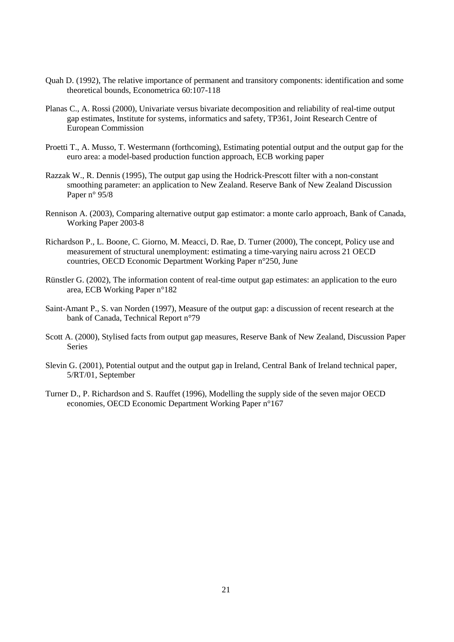- Quah D. (1992), The relative importance of permanent and transitory components: identification and some theoretical bounds, Econometrica 60:107-118
- Planas C., A. Rossi (2000), Univariate versus bivariate decomposition and reliability of real-time output gap estimates, Institute for systems, informatics and safety, TP361, Joint Research Centre of European Commission
- Proetti T., A. Musso, T. Westermann (forthcoming), Estimating potential output and the output gap for the euro area: a model-based production function approach, ECB working paper
- Razzak W., R. Dennis (1995), The output gap using the Hodrick-Prescott filter with a non-constant smoothing parameter: an application to New Zealand. Reserve Bank of New Zealand Discussion Paper n° 95/8
- Rennison A. (2003), Comparing alternative output gap estimator: a monte carlo approach, Bank of Canada, Working Paper 2003-8
- Richardson P., L. Boone, C. Giorno, M. Meacci, D. Rae, D. Turner (2000), The concept, Policy use and measurement of structural unemployment: estimating a time-varying nairu across 21 OECD countries, OECD Economic Department Working Paper n°250, June
- Rünstler G. (2002), The information content of real-time output gap estimates: an application to the euro area, ECB Working Paper n°182
- Saint-Amant P., S. van Norden (1997), Measure of the output gap: a discussion of recent research at the bank of Canada, Technical Report n°79
- Scott A. (2000), Stylised facts from output gap measures, Reserve Bank of New Zealand, Discussion Paper Series
- Slevin G. (2001), Potential output and the output gap in Ireland, Central Bank of Ireland technical paper, 5/RT/01, September
- Turner D., P. Richardson and S. Rauffet (1996), Modelling the supply side of the seven major OECD economies, OECD Economic Department Working Paper n°167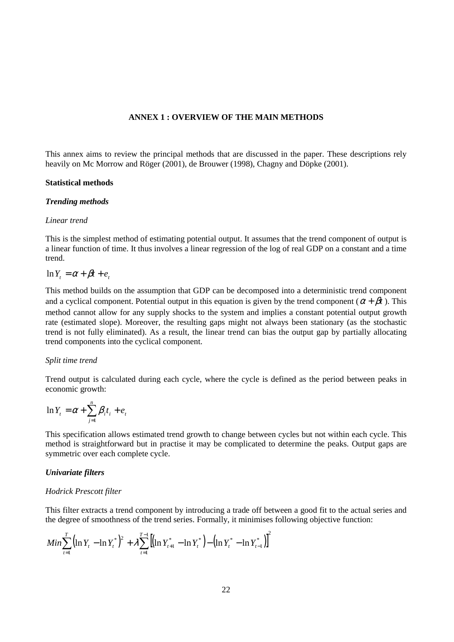## **ANNEX 1 : OVERVIEW OF THE MAIN METHODS**

This annex aims to review the principal methods that are discussed in the paper. These descriptions rely heavily on Mc Morrow and Röger (2001), de Brouwer (1998), Chagny and Döpke (2001).

#### **Statistical methods**

#### *Trending methods*

#### *Linear trend*

This is the simplest method of estimating potential output. It assumes that the trend component of output is a linear function of time. It thus involves a linear regression of the log of real GDP on a constant and a time trend.

## $\ln Y_t = \alpha + \beta t + e_t$

This method builds on the assumption that GDP can be decomposed into a deterministic trend component and a cyclical component. Potential output in this equation is given by the trend component ( $\alpha + \beta t$ ). This method cannot allow for any supply shocks to the system and implies a constant potential output growth rate (estimated slope). Moreover, the resulting gaps might not always been stationary (as the stochastic trend is not fully eliminated). As a result, the linear trend can bias the output gap by partially allocating trend components into the cyclical component.

#### *Split time trend*

Trend output is calculated during each cycle, where the cycle is defined as the period between peaks in economic growth:

$$
\ln Y_t = \alpha + \sum_{j=1}^n \beta_i t_i + e_t
$$

This specification allows estimated trend growth to change between cycles but not within each cycle. This method is straightforward but in practise it may be complicated to determine the peaks. Output gaps are symmetric over each complete cycle.

## *Univariate filters*

## *Hodrick Prescott filter*

This filter extracts a trend component by introducing a trade off between a good fit to the actual series and the degree of smoothness of the trend series. Formally, it minimises following objective function:

$$
Min \sum_{t=1}^{T} (\ln Y_{t} - \ln Y_{t}^{*})^{2} + \lambda \sum_{t=1}^{T-1} [(\ln Y_{t+1}^{*} - \ln Y_{t}^{*}) - (\ln Y_{t}^{*} - \ln Y_{t-1}^{*})]^{2}
$$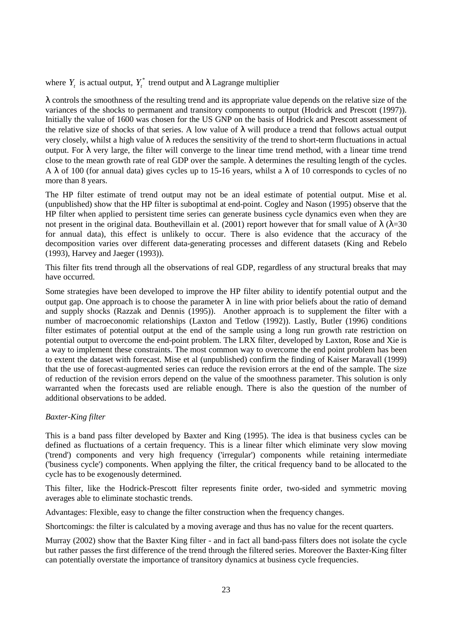where  $Y_t$  is actual output,  $Y_t^*$  trend output and  $\lambda$  Lagrange multiplier

λ controls the smoothness of the resulting trend and its appropriate value depends on the relative size of the variances of the shocks to permanent and transitory components to output (Hodrick and Prescott (1997)). Initially the value of 1600 was chosen for the US GNP on the basis of Hodrick and Prescott assessment of the relative size of shocks of that series. A low value of  $\lambda$  will produce a trend that follows actual output very closely, whilst a high value of λ reduces the sensitivity of the trend to short-term fluctuations in actual output. For λ very large, the filter will converge to the linear time trend method, with a linear time trend close to the mean growth rate of real GDP over the sample.  $\lambda$  determines the resulting length of the cycles. A  $\lambda$  of 100 (for annual data) gives cycles up to 15-16 years, whilst a  $\lambda$  of 10 corresponds to cycles of no more than 8 years.

The HP filter estimate of trend output may not be an ideal estimate of potential output. Mise et al. (unpublished) show that the HP filter is suboptimal at end-point. Cogley and Nason (1995) observe that the HP filter when applied to persistent time series can generate business cycle dynamics even when they are not present in the original data. Bouthevillain et al. (2001) report however that for small value of λ (λ=30 for annual data), this effect is unlikely to occur. There is also evidence that the accuracy of the decomposition varies over different data-generating processes and different datasets (King and Rebelo (1993), Harvey and Jaeger (1993)).

This filter fits trend through all the observations of real GDP, regardless of any structural breaks that may have occurred.

Some strategies have been developed to improve the HP filter ability to identify potential output and the output gap. One approach is to choose the parameter  $\lambda$  in line with prior beliefs about the ratio of demand and supply shocks (Razzak and Dennis (1995)). Another approach is to supplement the filter with a number of macroeconomic relationships (Laxton and Tetlow (1992)). Lastly, Butler (1996) conditions filter estimates of potential output at the end of the sample using a long run growth rate restriction on potential output to overcome the end-point problem. The LRX filter, developed by Laxton, Rose and Xie is a way to implement these constraints. The most common way to overcome the end point problem has been to extent the dataset with forecast. Mise et al (unpublished) confirm the finding of Kaiser Maravall (1999) that the use of forecast-augmented series can reduce the revision errors at the end of the sample. The size of reduction of the revision errors depend on the value of the smoothness parameter. This solution is only warranted when the forecasts used are reliable enough. There is also the question of the number of additional observations to be added.

## *Baxter-King filter*

This is a band pass filter developed by Baxter and King (1995). The idea is that business cycles can be defined as fluctuations of a certain frequency. This is a linear filter which eliminate very slow moving ('trend') components and very high frequency ('irregular') components while retaining intermediate ('business cycle') components. When applying the filter, the critical frequency band to be allocated to the cycle has to be exogenously determined.

This filter, like the Hodrick-Prescott filter represents finite order, two-sided and symmetric moving averages able to eliminate stochastic trends.

Advantages: Flexible, easy to change the filter construction when the frequency changes.

Shortcomings: the filter is calculated by a moving average and thus has no value for the recent quarters.

Murray (2002) show that the Baxter King filter - and in fact all band-pass filters does not isolate the cycle but rather passes the first difference of the trend through the filtered series. Moreover the Baxter-King filter can potentially overstate the importance of transitory dynamics at business cycle frequencies.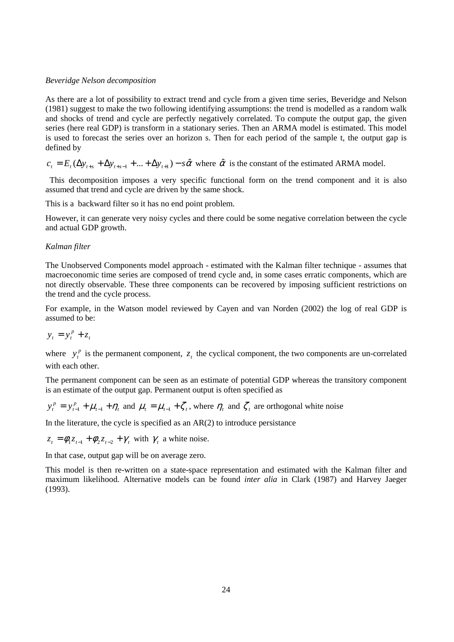## *Beveridge Nelson decomposition*

As there are a lot of possibility to extract trend and cycle from a given time series, Beveridge and Nelson (1981) suggest to make the two following identifying assumptions: the trend is modelled as a random walk and shocks of trend and cycle are perfectly negatively correlated. To compute the output gap, the given series (here real GDP) is transform in a stationary series. Then an ARMA model is estimated. This model is used to forecast the series over an horizon s. Then for each period of the sample t, the output gap is defined by

 $c_t = E_t(\Delta y_{t+s} + \Delta y_{t+s-1} + ... + \Delta y_{t+1}) - s\hat{\alpha}$  where  $\hat{\alpha}$  is the constant of the estimated ARMA model.

 This decomposition imposes a very specific functional form on the trend component and it is also assumed that trend and cycle are driven by the same shock.

This is a backward filter so it has no end point problem.

However, it can generate very noisy cycles and there could be some negative correlation between the cycle and actual GDP growth.

## *Kalman filter*

The Unobserved Components model approach - estimated with the Kalman filter technique - assumes that macroeconomic time series are composed of trend cycle and, in some cases erratic components, which are not directly observable. These three components can be recovered by imposing sufficient restrictions on the trend and the cycle process.

For example, in the Watson model reviewed by Cayen and van Norden (2002) the log of real GDP is assumed to be:

$$
y_t = y_t^p + z_t
$$

where  $y_t^p$  is the permanent component,  $z_t$  the cyclical component, the two components are un-correlated with each other.

The permanent component can be seen as an estimate of potential GDP whereas the transitory component is an estimate of the output gap. Permanent output is often specified as

 $t-1$  <sup>1</sup>/t *p t*  $y_t^p = y_{t-1}^p + \mu_{t-1} + \eta_t$  and  $\mu_t = \mu_{t-1} + \zeta_t$ , where  $\eta_t$  and  $\zeta_t$  are orthogonal white noise

In the literature, the cycle is specified as an  $AR(2)$  to introduce persistance

 $z_t = \phi_1 z_{t-1} + \phi_2 z_{t-2} + \gamma$ , with  $\gamma_t$  a white noise.

In that case, output gap will be on average zero.

This model is then re-written on a state-space representation and estimated with the Kalman filter and maximum likelihood. Alternative models can be found *inter alia* in Clark (1987) and Harvey Jaeger (1993).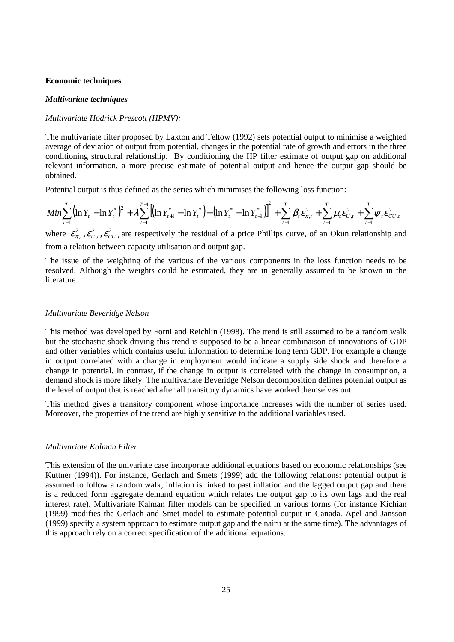#### **Economic techniques**

## *Multivariate techniques*

## *Multivariate Hodrick Prescott (HPMV):*

The multivariate filter proposed by Laxton and Teltow (1992) sets potential output to minimise a weighted average of deviation of output from potential, changes in the potential rate of growth and errors in the three conditioning structural relationship. By conditioning the HP filter estimate of output gap on additional relevant information, a more precise estimate of potential output and hence the output gap should be obtained.

Potential output is thus defined as the series which minimises the following loss function:

$$
Min \sum_{t=1}^{T} (\ln Y_{t} - \ln Y_{t}^{*})^{2} + \lambda \sum_{t=1}^{T-1} \left[ (\ln Y_{t+1}^{*} - \ln Y_{t}^{*}) - (\ln Y_{t}^{*} - \ln Y_{t-1}^{*}) \right]^{2} + \sum_{t=1}^{T} \beta_{t} \varepsilon_{\pi, t}^{2} + \sum_{t=1}^{T} \mu_{t} \varepsilon_{U, t}^{2} + \sum_{t=1}^{T} \psi_{t} \varepsilon_{CU, t}^{2}
$$

where  $\mathcal{E}_{\pi,t}^2, \mathcal{E}_{U,t}^2, \mathcal{E}_{CU,t}^2$ 2 ,  $\epsilon_{\pi,t}^2$ ,  $\epsilon_{U,t}^2$ ,  $\epsilon_{CU,t}^2$  are respectively the residual of a price Phillips curve, of an Okun relationship and from a relation between capacity utilisation and output gap.

The issue of the weighting of the various of the various components in the loss function needs to be resolved. Although the weights could be estimated, they are in generally assumed to be known in the literature.

## *Multivariate Beveridge Nelson*

This method was developed by Forni and Reichlin (1998). The trend is still assumed to be a random walk but the stochastic shock driving this trend is supposed to be a linear combinaison of innovations of GDP and other variables which contains useful information to determine long term GDP. For example a change in output correlated with a change in employment would indicate a supply side shock and therefore a change in potential. In contrast, if the change in output is correlated with the change in consumption, a demand shock is more likely. The multivariate Beveridge Nelson decomposition defines potential output as the level of output that is reached after all transitory dynamics have worked themselves out.

This method gives a transitory component whose importance increases with the number of series used. Moreover, the properties of the trend are highly sensitive to the additional variables used.

#### *Multivariate Kalman Filter*

This extension of the univariate case incorporate additional equations based on economic relationships (see Kuttner (1994)). For instance, Gerlach and Smets (1999) add the following relations: potential output is assumed to follow a random walk, inflation is linked to past inflation and the lagged output gap and there is a reduced form aggregate demand equation which relates the output gap to its own lags and the real interest rate). Multivariate Kalman filter models can be specified in various forms (for instance Kichian (1999) modifies the Gerlach and Smet model to estimate potential output in Canada. Apel and Jansson (1999) specify a system approach to estimate output gap and the nairu at the same time). The advantages of this approach rely on a correct specification of the additional equations.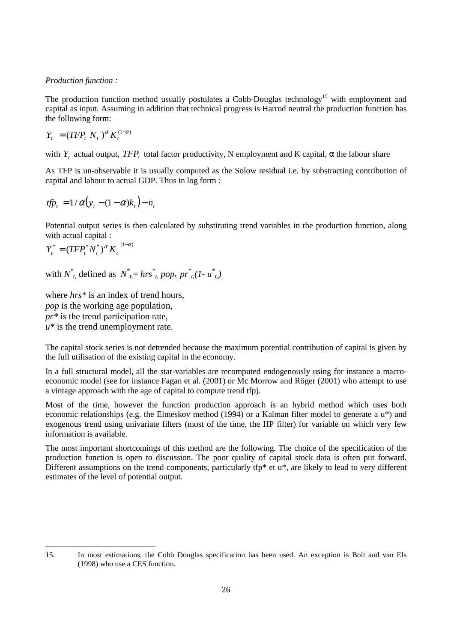## *Production function :*

The production function method usually postulates a Cobb-Douglas technology<sup>15</sup> with employment and capital as input. Assuming in addition that technical progress is Harrod neutral the production function has the following form:

$$
Y_t = (TFP_t N_t)^{\alpha} K_t^{(1-\alpha)}
$$

with  $Y_t$  actual output,  $TFP_t$  total factor productivity, N employment and K capital,  $\alpha$  the labour share

As TFP is un-observable it is usually computed as the Solow residual i.e. by substracting contribution of capital and labour to actual GDP. Thus in log form :

$$
tf\ddot{p}_t = 1/\alpha(y_t - (1-\alpha)k_t) - n_t
$$

Potential output series is then calculated by substituting trend variables in the production function, along with actual capital :

$$
Y_t^* = (TFP_t^*N_t^*)^{\alpha} K_t^{(1-\alpha)}
$$

with  $N^*$ <sup>*t*</sup>, defined as  $N^*$ <sup>*t*</sup><sub>*t*</sub></sub>= *hrs*<sup>\*</sup><sub>*t*</sub>, *pop<sub>t</sub>*,  $pr^*$ <sup>*t*</sup><sub>*t*</sub>(*I*-  $u^*$ <sup>*t*</sup><sub>*t*</sub>)

where  $hrs^*$  is an index of trend hours, *pop* is the working age population, *pr\** is the trend participation rate,  $u^*$  is the trend unemployment rate.

The capital stock series is not detrended because the maximum potential contribution of capital is given by the full utilisation of the existing capital in the economy.

In a full structural model, all the star-variables are recomputed endogenously using for instance a macroeconomic model (see for instance Fagan et al. (2001) or Mc Morrow and Röger (2001) who attempt to use a vintage approach with the age of capital to compute trend tfp).

Most of the time, however the function production approach is an hybrid method which uses both economic relationships (e.g. the Elmeskov method (1994) or a Kalman filter model to generate a u\*) and exogenous trend using univariate filters (most of the time, the HP filter) for variable on which very few information is available.

The most important shortcomings of this method are the following. The choice of the specification of the production function is open to discussion. The poor quality of capital stock data is often put forward. Different assumptions on the trend components, particularly tfp\* et  $u^*$ , are likely to lead to very different estimates of the level of potential output.

<sup>15.</sup> In most estimations, the Cobb Douglas specification has been used. An exception is Bolt and van Els (1998) who use a CES function.